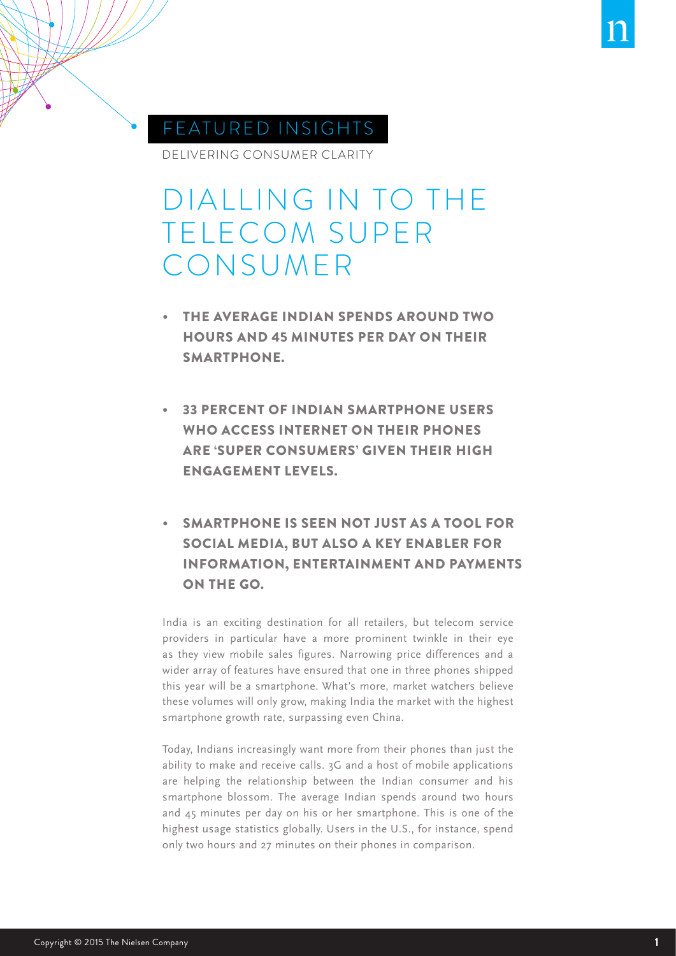

## FEATURED INSIGHTS

DELIVERING CONSUMER CLARITY

# DIALLING IN TO THE TELECOM SUPER CONSUMER

- **THE AVERAGE INDIAN SPENDS AROUND TWO** HOURS AND 45 MINUTES PER DAY ON THEIR SMARTPHONE.
- **33 PERCENT OF INDIAN SMARTPHONE USERS** WHO ACCESS INTERNET ON THEIR PHONES ARE 'SUPER CONSUMERS' GIVEN THEIR HIGH ENGAGEMENT LEVELS.
- **SMARTPHONE IS SEEN NOT JUST AS A TOOL FOR** SOCIAL MEDIA, BUT ALSO A KEY ENABLER FOR INFORMATION, ENTERTAINMENT AND PAYMENTS ON THE GO.

India is an exciting destination for all retailers, but telecom service providers in particular have a more prominent twinkle in their eye as they view mobile sales figures. Narrowing price differences and a wider array of features have ensured that one in three phones shipped this year will be a smartphone. What's more, market watchers believe these volumes will only grow, making India the market with the highest smartphone growth rate, surpassing even China.

Today, Indians increasingly want more from their phones than just the ability to make and receive calls. 3G and a host of mobile applications are helping the relationship between the Indian consumer and his smartphone blossom. The average Indian spends around two hours and 45 minutes per day on his or her smartphone. This is one of the highest usage statistics globally. Users in the U.S., for instance, spend only two hours and 27 minutes on their phones in comparison.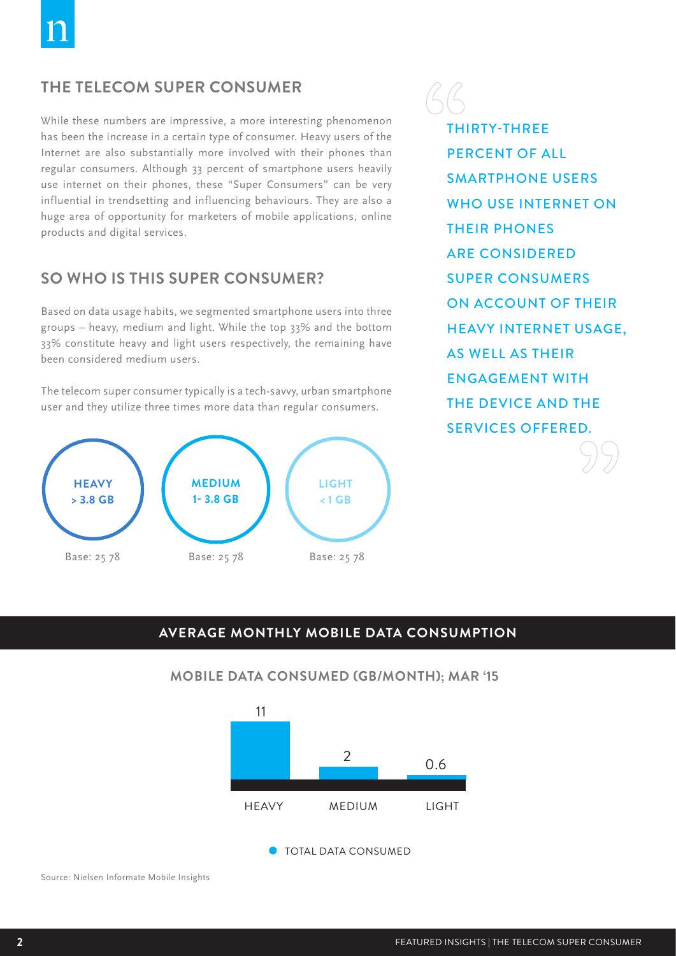## **THE TELECOM SUPER CONSUMER**

While these numbers are impressive, a more interesting phenomenon has been the increase in a certain type of consumer. Heavy users of the Internet are also substantially more involved with their phones than regular consumers. Although 33 percent of smartphone users heavily use internet on their phones, these "Super Consumers" can be very influential in trendsetting and influencing behaviours. They are also a huge area of opportunity for marketers of mobile applications, online products and digital services.

### **SO WHO IS THIS SUPER CONSUMER?**

Based on data usage habits, we segmented smartphone users into three groups – heavy, medium and light. While the top 33% and the bottom 33% constitute heavy and light users respectively, the remaining have been considered medium users.

The telecom super consumer typically is a tech-savvy, urban smartphone user and they utilize three times more data than regular consumers.



THIRTY-THREE PERCENT OF ALL SMARTPHONE USERS WHO USE INTERNET ON THEIR PHONES ARE CONSIDERED SUPER CONSUMERS ON ACCOUNT OF THEIR HEAVY INTERNET USAGE, AS WELL AS THEIR ENGAGEMENT WITH THE DEVICE AND THE SERVICES OFFERED.

#### **AVERAGE MONTHLY MOBILE DATA CONSUMPTION**



#### **MOBILE DATA CONSUMED (GB/MONTH); MAR '15**

Source: Nielsen Informate Mobile Insights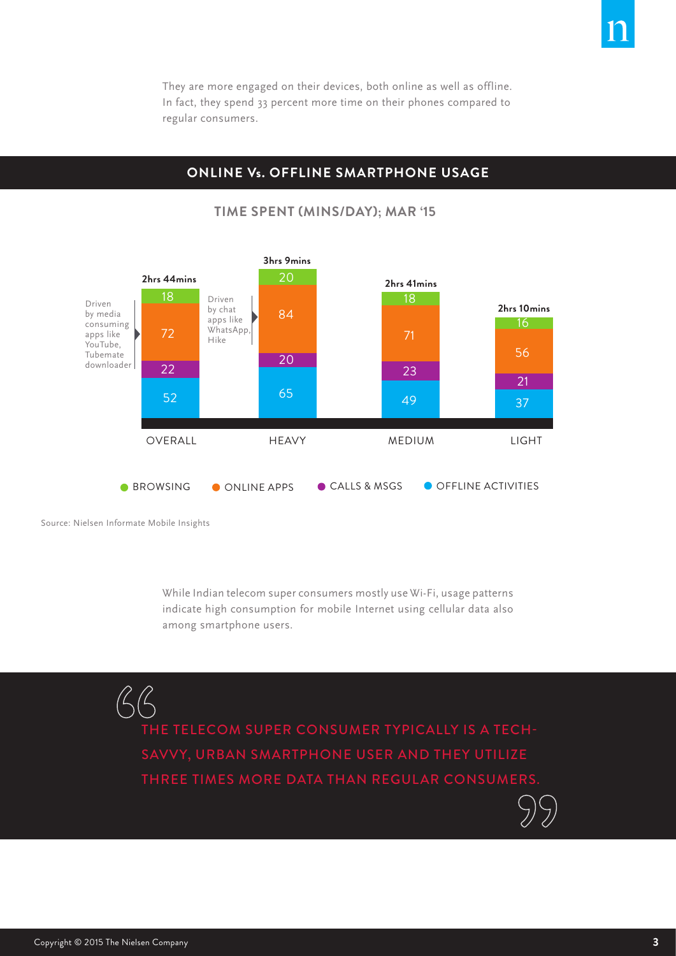They are more engaged on their devices, both online as well as offline. In fact, they spend 33 percent more time on their phones compared to regular consumers.

#### **ONLINE Vs. OFFLINE SMARTPHONE USAGE**



#### **TIME SPENT (MINS/DAY); MAR '15**

Source: Nielsen Informate Mobile Insights

 $\beta\beta$ 

While Indian telecom super consumers mostly use Wi-Fi, usage patterns indicate high consumption for mobile Internet using cellular data also among smartphone users.

THE TELECOM SUPER CONSUMER TYPICALLY IS A TECH-SAVVY, URBAN SMARTPHONE USER AND THEY UTILIZE THREE TIMES MORE DATA THAN REGULAR CONSUMERS.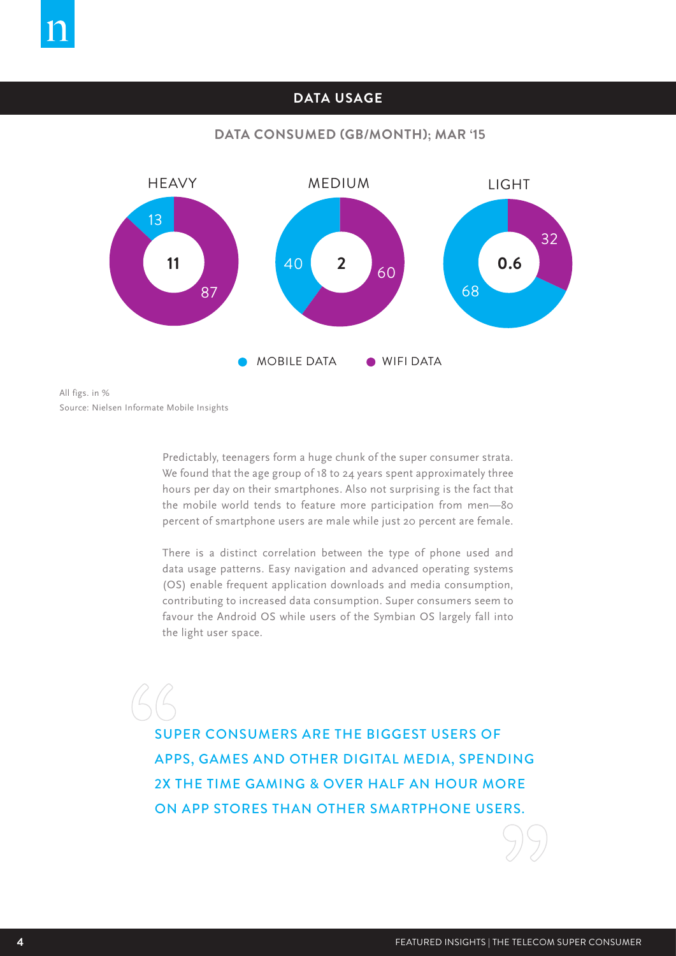#### **DATA USAGE**

#### **DATA CONSUMED (GB/MONTH); MAR '15**



Source: Nielsen Informate Mobile Insights All figs. in %

> Predictably, teenagers form a huge chunk of the super consumer strata. We found that the age group of 18 to 24 years spent approximately three hours per day on their smartphones. Also not surprising is the fact that the mobile world tends to feature more participation from men—80 percent of smartphone users are male while just 20 percent are female.

> There is a distinct correlation between the type of phone used and data usage patterns. Easy navigation and advanced operating systems (OS) enable frequent application downloads and media consumption, contributing to increased data consumption. Super consumers seem to favour the Android OS while users of the Symbian OS largely fall into the light user space.

SUPER CONSUMERS ARE THE BIGGEST USERS OF APPS, GAMES AND OTHER DIGITAL MEDIA, SPENDING 2X THE TIME GAMING & OVER HALF AN HOUR MORE ON APP STORES THAN OTHER SMARTPHONE USERS.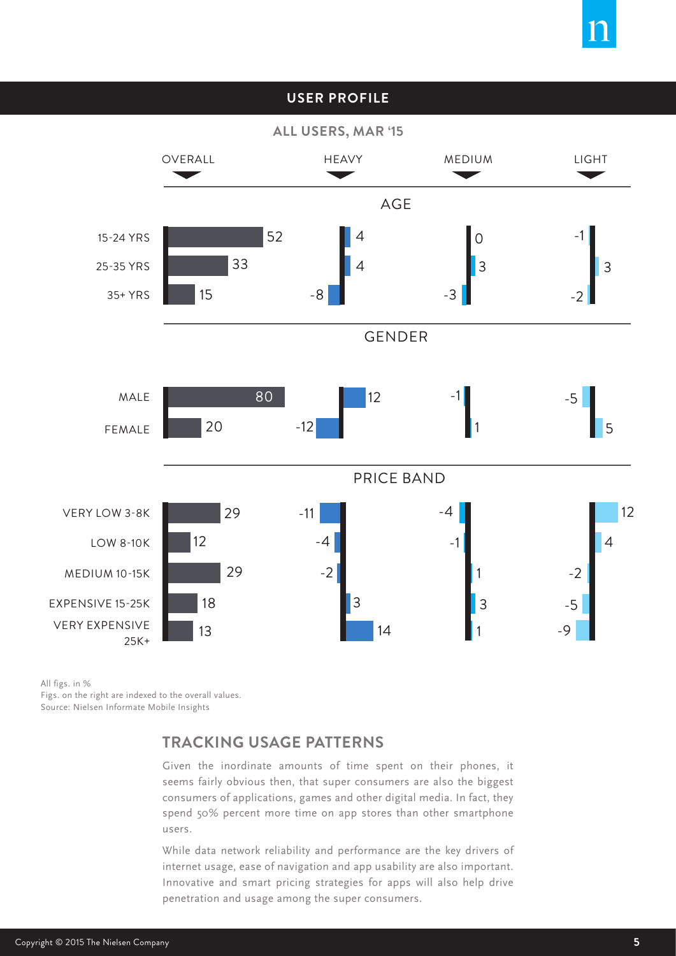#### **USER PROFILE**

**ALL USERS, MAR '15**



All figs. in %

Source: Nielsen Informate Mobile Insights Figs. on the right are indexed to the overall values.

## **TRACKING USAGE PATTERNS**

Given the inordinate amounts of time spent on their phones, it seems fairly obvious then, that super consumers are also the biggest consumers of applications, games and other digital media. In fact, they spend 50% percent more time on app stores than other smartphone users.

While data network reliability and performance are the key drivers of internet usage, ease of navigation and app usability are also important. Innovative and smart pricing strategies for apps will also help drive penetration and usage among the super consumers.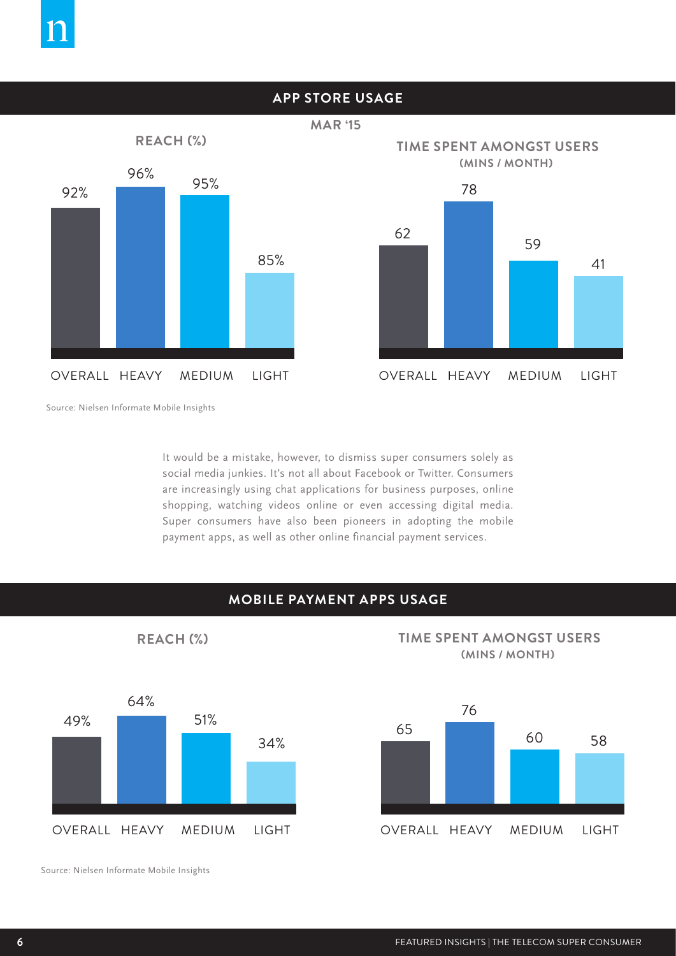

Source: Nielsen Informate Mobile Insights

It would be a mistake, however, to dismiss super consumers solely as social media junkies. It's not all about Facebook or Twitter. Consumers are increasingly using chat applications for business purposes, online shopping, watching videos online or even accessing digital media. Super consumers have also been pioneers in adopting the mobile payment apps, as well as other online financial payment services.

#### **MOBILE PAYMENT APPS USAGE**

49% 64% 51% 34%

**REACH (%)**

**TIME SPENT AMONGST USERS (MINS / MONTH)**



Source: Nielsen Informate Mobile Insights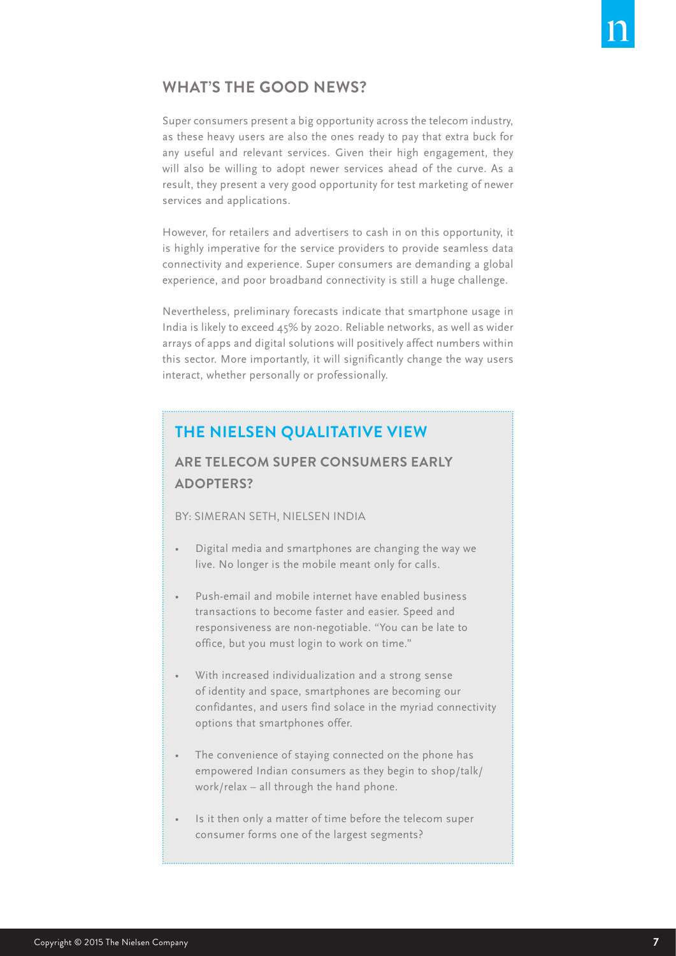## **WHAT'S THE GOOD NEWS?**

Super consumers present a big opportunity across the telecom industry, as these heavy users are also the ones ready to pay that extra buck for any useful and relevant services. Given their high engagement, they will also be willing to adopt newer services ahead of the curve. As a result, they present a very good opportunity for test marketing of newer services and applications.

However, for retailers and advertisers to cash in on this opportunity, it is highly imperative for the service providers to provide seamless data connectivity and experience. Super consumers are demanding a global experience, and poor broadband connectivity is still a huge challenge.

Nevertheless, preliminary forecasts indicate that smartphone usage in India is likely to exceed 45% by 2020. Reliable networks, as well as wider arrays of apps and digital solutions will positively affect numbers within this sector. More importantly, it will significantly change the way users interact, whether personally or professionally.

## **THE NIELSEN QUALITATIVE VIEW**

## **ARE TELECOM SUPER CONSUMERS EARLY ADOPTERS?**

BY: SIMERAN SETH, NIELSEN INDIA

- Digital media and smartphones are changing the way we live. No longer is the mobile meant only for calls.
- Push-email and mobile internet have enabled business transactions to become faster and easier. Speed and responsiveness are non-negotiable. "You can be late to office, but you must login to work on time."
- With increased individualization and a strong sense of identity and space, smartphones are becoming our confidantes, and users find solace in the myriad connectivity options that smartphones offer.
- The convenience of staying connected on the phone has empowered Indian consumers as they begin to shop/talk/ work/relax – all through the hand phone.
- Is it then only a matter of time before the telecom super consumer forms one of the largest segments?